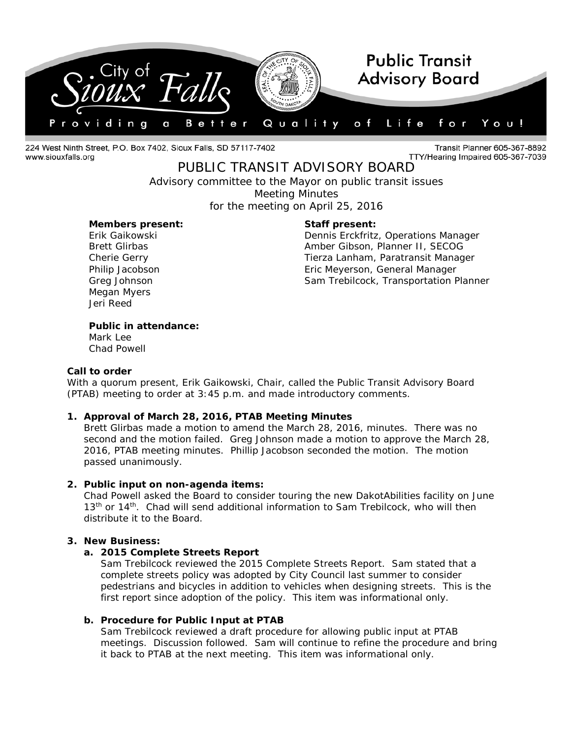

224 West Ninth Street, P.O. Box 7402, Sioux Falls, SD 57117-7402 www.siouxfalls.org

Transit Planner 605-367-8892 TTY/Hearing Impaired 605-367-7039

# PUBLIC TRANSIT ADVISORY BOARD

*Advisory committee to the Mayor on public transit issues* Meeting Minutes for the meeting on April 25, 2016

#### **Members present: Staff present:**

Megan Myers Jeri Reed

Erik Gaikowski Dennis Erckfritz, Operations Manager Brett Glirbas **Amber Gibson, Planner II, SECOG** Cherie Gerry Tierza Lanham, Paratransit Manager Philip Jacobson Eric Meyerson, General Manager Greg Johnson **Sam Trebilcock, Transportation Planner** Sam Trebilcock, Transportation Planner

# **Public in attendance:**

Mark Lee Chad Powell

#### **Call to order**

With a quorum present, Erik Gaikowski, Chair, called the Public Transit Advisory Board (PTAB) meeting to order at 3:45 p.m. and made introductory comments.

# **1. Approval of March 28, 2016, PTAB Meeting Minutes**

Brett Glirbas made a motion to amend the March 28, 2016, minutes. There was no second and the motion failed. Greg Johnson made a motion to approve the March 28, 2016, PTAB meeting minutes. Phillip Jacobson seconded the motion. The motion passed unanimously.

# **2. Public input on non-agenda items:**

Chad Powell asked the Board to consider touring the new DakotAbilities facility on June 13<sup>th</sup> or 14<sup>th</sup>. Chad will send additional information to Sam Trebilcock, who will then distribute it to the Board.

# **3. New Business:**

#### **a. 2015 Complete Streets Report**

Sam Trebilcock reviewed the 2015 Complete Streets Report. Sam stated that a complete streets policy was adopted by City Council last summer to consider pedestrians and bicycles in addition to vehicles when designing streets. This is the first report since adoption of the policy. This item was informational only.

# **b. Procedure for Public Input at PTAB**

Sam Trebilcock reviewed a draft procedure for allowing public input at PTAB meetings. Discussion followed. Sam will continue to refine the procedure and bring it back to PTAB at the next meeting. This item was informational only.